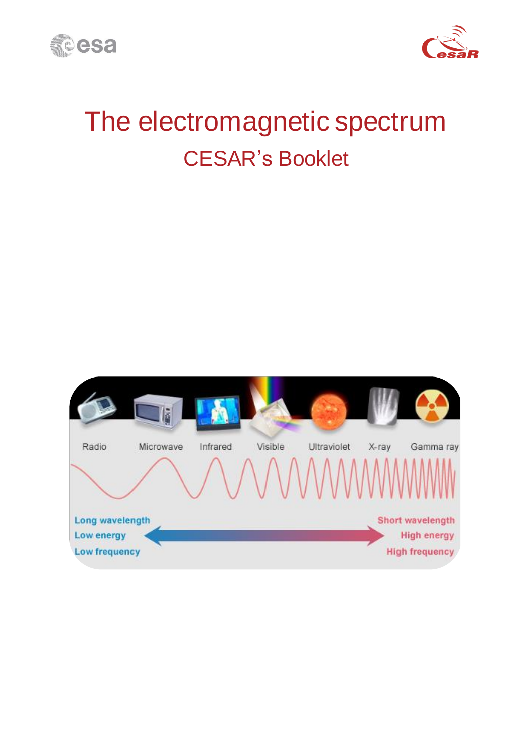



# The electromagnetic spectrum CESAR's Booklet

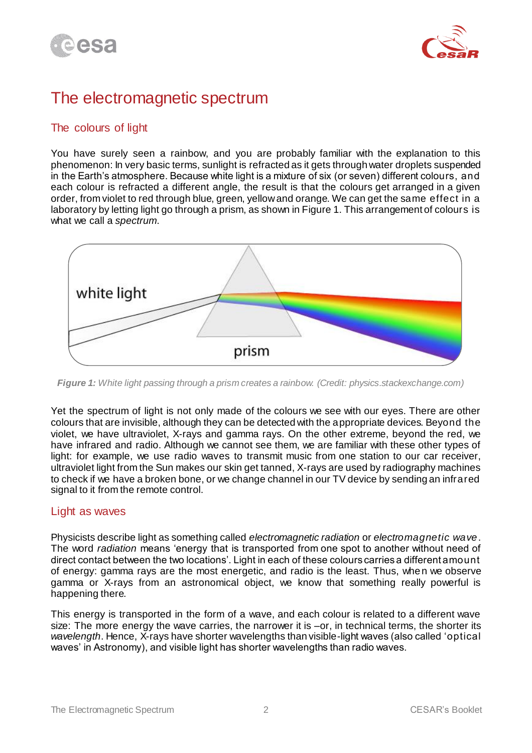



# The electromagnetic spectrum

# The colours of light

You have surely seen a rainbow, and you are probably familiar with the explanation to this phenomenon: In very basic terms, sunlight is refracted as it gets through water droplets suspended in the Earth's atmosphere. Because white light is a mixture of six (or seven) different colours, and each colour is refracted a different angle, the result is that the colours get arranged in a given order, from violet to red through blue, green, yellow and orange. We can get the same effect in a laboratory by letting light go through a prism, as shown in Figure 1. This arrangement of colours is what we call a *spectrum*.



*Figure 1: White light passing through a prism creates a rainbow. (Credit: physics.stackexchange.com)*

Yet the spectrum of light is not only made of the colours we see with our eyes. There are other colours that are invisible, although they can be detected with the appropriate devices. Beyond the violet, we have ultraviolet, X-rays and gamma rays. On the other extreme, beyond the red, we have infrared and radio. Although we cannot see them, we are familiar with these other types of light: for example, we use radio waves to transmit music from one station to our car receiver, ultraviolet light from the Sun makes our skin get tanned, X-rays are used by radiography machines to check if we have a broken bone, or we change channel in our TV device by sending an infrared signal to it from the remote control.

### Light as waves

Physicists describe light as something called *electromagnetic radiation* or *electromagnetic wave*. The word *radiation* means 'energy that is transported from one spot to another without need of direct contact between the two locations'. Light in each of these colours carries a different amount of energy: gamma rays are the most energetic, and radio is the least. Thus, when we observe gamma or X-rays from an astronomical object, we know that something really powerful is happening there.

This energy is transported in the form of a wave, and each colour is related to a different wave size: The more energy the wave carries, the narrower it is –or, in technical terms, the shorter its *wavelength*. Hence, X-rays have shorter wavelengths than visible-light waves (also called 'optical waves' in Astronomy), and visible light has shorter wavelengths than radio waves.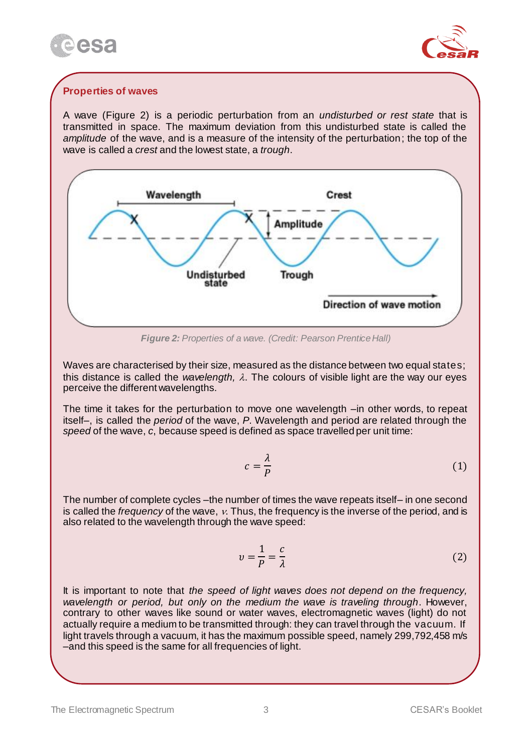



## **Properties of waves**

A wave (Figure 2) is a periodic perturbation from an *undisturbed or rest state* that is transmitted in space. The maximum deviation from this undisturbed state is called the *amplitude* of the wave, and is a measure of the intensity of the perturbation; the top of the wave is called a *crest* and the lowest state, a *trough*.



*Figure 2: Properties of a wave. (Credit: Pearson Prentice Hall)*

Waves are characterised by their size, measured as the distance between two equal states; this distance is called the *wavelength,*  $\lambda$ *.* The colours of visible light are the way our eyes perceive the different wavelengths.

The time it takes for the perturbation to move one wavelength –in other words, to repeat itself–, is called the *period* of the wave, *P*. Wavelength and period are related through the *speed* of the wave, *c*, because speed is defined as space travelled per unit time:

$$
c = \frac{\lambda}{P}
$$
 (1)

The number of complete cycles –the number of times the wave repeats itself– in one second is called the *frequency* of the wave, v. Thus, the frequency is the inverse of the period, and is also related to the wavelength through the wave speed:

$$
v = \frac{1}{P} = \frac{c}{\lambda} \tag{2}
$$

It is important to note that *the speed of light waves does not depend on the frequency, wavelength or period, but only on the medium the wave is traveling through*. However, contrary to other waves like sound or water waves, electromagnetic waves (light) do not actually require a medium to be transmitted through: they can travel through the vacuum. If light travels through a vacuum, it has the maximum possible speed, namely 299,792,458 m/s –and this speed is the same for all frequencies of light.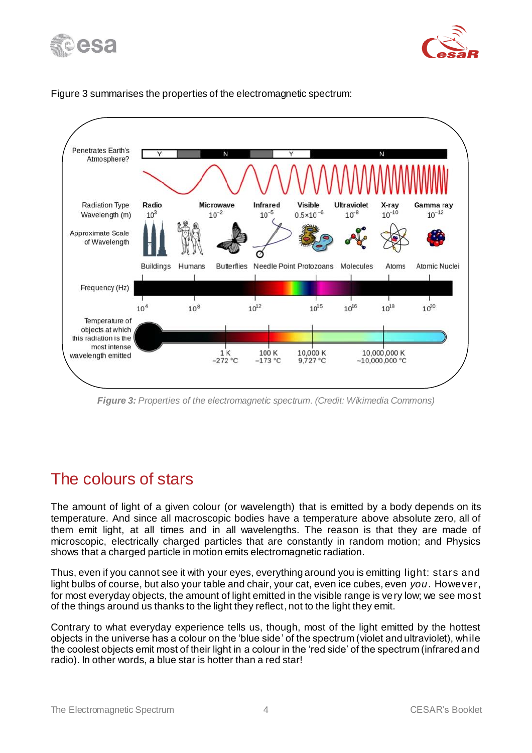





#### Figure 3 summarises the properties of the electromagnetic spectrum:

*Figure 3: Properties of the electromagnetic spectrum. (Credit: Wikimedia Commons)*

# The colours of stars

The amount of light of a given colour (or wavelength) that is emitted by a body depends on its temperature. And since all macroscopic bodies have a temperature above absolute zero, all of them emit light, at all times and in all wavelengths. The reason is that they are made of microscopic, electrically charged particles that are constantly in random motion; and Physics shows that a charged particle in motion emits electromagnetic radiation.

Thus, even if you cannot see it with your eyes, everything around you is emitting light: stars and light bulbs of course, but also your table and chair, your cat, even ice cubes, even *you*. However, for most everyday objects, the amount of light emitted in the visible range is very low; we see most of the things around us thanks to the light they reflect, not to the light they emit.

Contrary to what everyday experience tells us, though, most of the light emitted by the hottest objects in the universe has a colour on the 'blue side' of the spectrum (violet and ultraviolet), while the coolest objects emit most of their light in a colour in the 'red side' of the spectrum (infrared and radio). In other words, a blue star is hotter than a red star!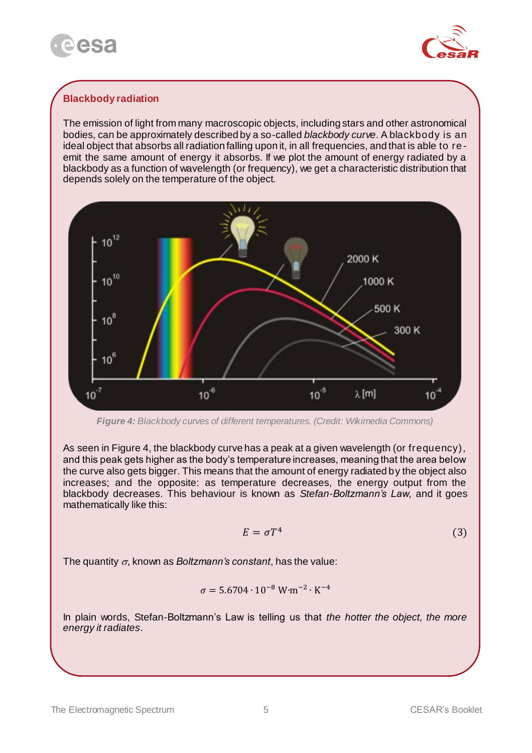



## **Blackbody radiation**

The emission of light from many macroscopic objects, including stars and other astronomical bodies, can be approximately described by a so-called *blackbody curve*. A blackbody is an ideal object that absorbs all radiation falling upon it, in all frequencies, and that is able to reemit the same amount of energy it absorbs. If we plot the amount of energy radiated by a blackbody as a function of wavelength (or frequency), we get a characteristic distribution that depends solely on the temperature of the object.



*Figure 4: Blackbody curves of different temperatures. (Credit: Wikimedia Commons)*

As seen in Figure 4, the blackbody curve has a peak at a given wavelength (or frequency), and this peak gets higher as the body's temperature increases, meaning that the area below the curve also gets bigger. This means that the amount of energy radiated by the object also increases; and the opposite: as temperature decreases, the energy output from the blackbody decreases. This behaviour is known as *Stefan-Boltzmann's Law*, and it goes mathematically like this:

$$
E = \sigma T^4 \tag{3}
$$

The quantity  $\sigma$ , known as *Boltzmann's constant*, has the value:

$$
\sigma = 5.6704 \cdot 10^{-8} \, \text{W} \cdot \text{m}^{-2} \cdot \text{K}^{-4}
$$

In plain words, Stefan-Boltzmann's Law is telling us that *the hotter the object, the more energy it radiates*.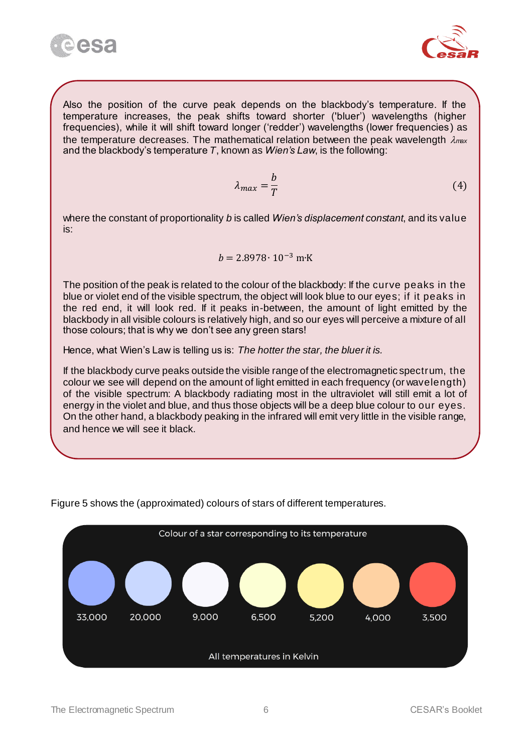



Also the position of the curve peak depends on the blackbody's temperature. If the temperature increases, the peak shifts toward shorter ('bluer') wavelengths (higher frequencies), while it will shift toward longer ('redder') wavelengths (lower frequencies ) as the temperature decreases. The mathematical relation between the peak wavelength  $\lambda_{\text{max}}$ and the blackbody's temperature *T*, known as *Wien's Law*, is the following:

$$
\lambda_{max} = \frac{b}{T} \tag{4}
$$

where the constant of proportionality *b* is called *Wien's displacement constant*, and its value is:

$$
b = 2.8978 \cdot 10^{-3} \text{ m} \cdot \text{K}
$$

The position of the peak is related to the colour of the blackbody: If the curve peaks in the blue or violet end of the visible spectrum, the object will look blue to our eyes; if it peaks in the red end, it will look red. If it peaks in-between, the amount of light emitted by the blackbody in all visible colours is relatively high, and so our eyes will perceive a mixture of all those colours; that is why we don't see any green stars!

Hence, what Wien's Law is telling us is: *The hotter the star, the bluer it is.*

If the blackbody curve peaks outside the visible range of the electromagnetic spectrum, the colour we see will depend on the amount of light emitted in each frequency (or wavelength) of the visible spectrum: A blackbody radiating most in the ultraviolet will still emit a lot of energy in the violet and blue, and thus those objects will be a deep blue colour to our eyes. On the other hand, a blackbody peaking in the infrared will emit very little in the visible range, and hence we will see it black.



Figure 5 shows the (approximated) colours of stars of different temperatures.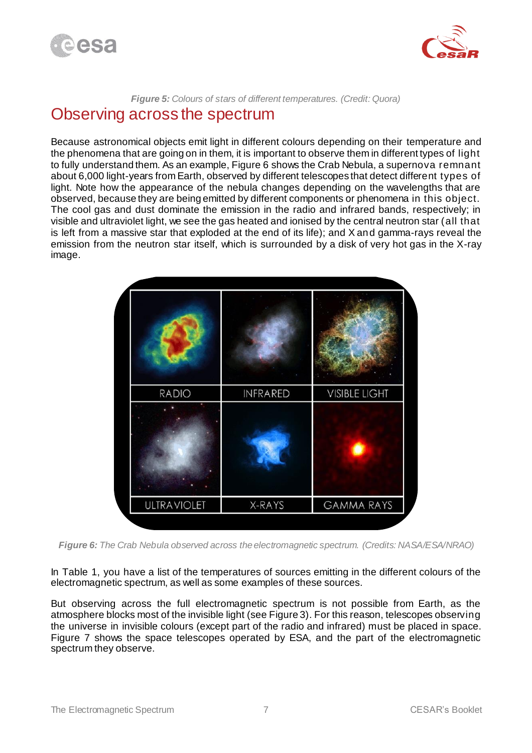



#### *Figure 5: Colours of stars of different temperatures. (Credit: Quora)*

# Observing across the spectrum

Because astronomical objects emit light in different colours depending on their temperature and the phenomena that are going on in them, it is important to observe them in different types of light to fully understand them. As an example, Figure 6 shows the Crab Nebula, a supernova remnant about 6,000 light-years from Earth, observed by different telescopes that detect different types of light. Note how the appearance of the nebula changes depending on the wavelengths that are observed, because they are being emitted by different components or phenomena in this object. The cool gas and dust dominate the emission in the radio and infrared bands, respectively; in visible and ultraviolet light, we see the gas heated and ionised by the central neutron star (all that is left from a massive star that exploded at the end of its life); and X and gamma-rays reveal the emission from the neutron star itself, which is surrounded by a disk of very hot gas in the X-ray image.

| RADIO              | <b>INFRARED</b> | <b>VISIBLE LIGHT</b> |
|--------------------|-----------------|----------------------|
|                    |                 |                      |
| <b>ULTRAVIOLET</b> | X-RAYS          | <b>GAMMA RAYS</b>    |

*Figure 6: The Crab Nebula observed across the electromagnetic spectrum. (Credits: NASA/ESA/NRAO)*

In Table 1, you have a list of the temperatures of sources emitting in the different colours of the electromagnetic spectrum, as well as some examples of these sources.

But observing across the full electromagnetic spectrum is not possible from Earth, as the atmosphere blocks most of the invisible light (see Figure 3). For this reason, telescopes observing the universe in invisible colours (except part of the radio and infrared) must be placed in space. Figure 7 shows the space telescopes operated by ESA, and the part of the electromagnetic spectrum they observe.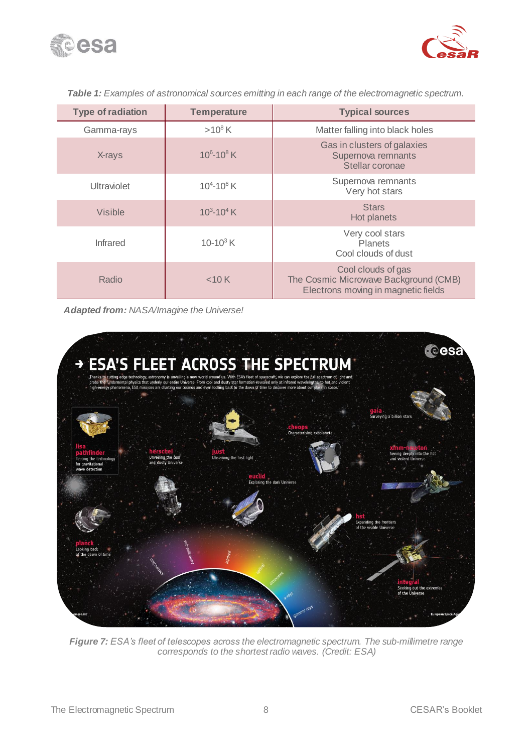



| <b>Type of radiation</b> | <b>Temperature</b> | <b>Typical sources</b>                                                                             |
|--------------------------|--------------------|----------------------------------------------------------------------------------------------------|
| Gamma-rays               | $>10^8 K$          | Matter falling into black holes                                                                    |
| X-rays                   | $10^6 - 10^8$ K    | Gas in clusters of galaxies<br>Supernova remnants<br>Stellar coronae                               |
| Ultraviolet              | $10^4 - 10^6$ K    | Supernova remnants<br>Very hot stars                                                               |
| Visible                  | $10^3 - 10^4$ K    | <b>Stars</b><br>Hot planets                                                                        |
| <b>Infrared</b>          | 10-10 $3$ K        | Very cool stars<br><b>Planets</b><br>Cool clouds of dust                                           |
| Radio                    | $<$ 10 K           | Cool clouds of gas<br>The Cosmic Microwave Background (CMB)<br>Electrons moving in magnetic fields |

*Table 1: Examples of astronomical sources emitting in each range of the electromagnetic spectrum.*

*Adapted from: NASA/Imagine the Universe!*



*Figure 7: ESA's fleet of telescopes across the electromagnetic spectrum. The sub-millimetre range corresponds to the shortest radio waves. (Credit: ESA)*